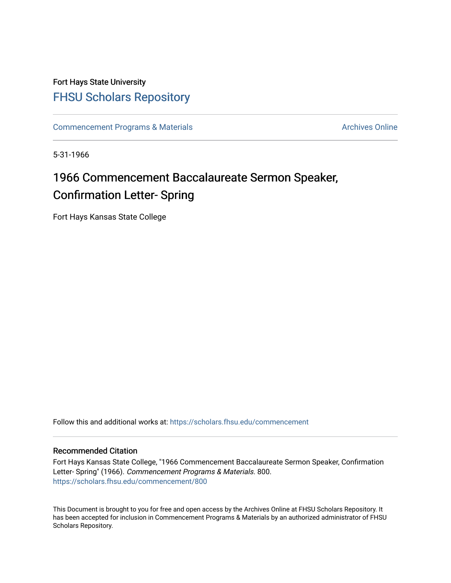## Fort Hays State University [FHSU Scholars Repository](https://scholars.fhsu.edu/)

[Commencement Programs & Materials](https://scholars.fhsu.edu/commencement) Archives Online

5-31-1966

# 1966 Commencement Baccalaureate Sermon Speaker, Confirmation Letter- Spring

Fort Hays Kansas State College

Follow this and additional works at: [https://scholars.fhsu.edu/commencement](https://scholars.fhsu.edu/commencement?utm_source=scholars.fhsu.edu%2Fcommencement%2F800&utm_medium=PDF&utm_campaign=PDFCoverPages)

#### Recommended Citation

Fort Hays Kansas State College, "1966 Commencement Baccalaureate Sermon Speaker, Confirmation Letter- Spring" (1966). Commencement Programs & Materials. 800. [https://scholars.fhsu.edu/commencement/800](https://scholars.fhsu.edu/commencement/800?utm_source=scholars.fhsu.edu%2Fcommencement%2F800&utm_medium=PDF&utm_campaign=PDFCoverPages)

This Document is brought to you for free and open access by the Archives Online at FHSU Scholars Repository. It has been accepted for inclusion in Commencement Programs & Materials by an authorized administrator of FHSU Scholars Repository.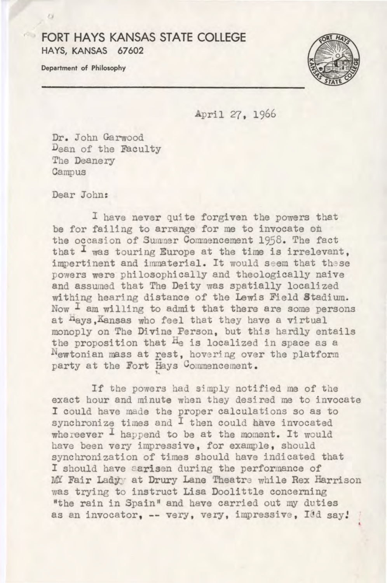#### **FORT HAYS KANSAS STATE COLLEGE HAYS, KANSAS 67602**

**Department of Philosophy** 



April *'2'7,* 1966

Dr. John Garwood Dean of the Faculty The Deanery Campus

Dear John:

I have never Quite forgiven the powers that be for failing to arrange for me to invocate on the occasion of Summer Commencement 1958. The fact that  $I$  was touring Europe at the time is irrelevant, impertinent and immaterial. It would seem that these powers were philosophically and theologically naive and assumed that The Deity was spatially localized withing hearing distance of the Lewis Field Stadium. Now  $\frac{1}{1}$  am willing to admit that there are some persons at hays,Kansas who feel that they have a virtual monoply on The Divine Person, but this hardly entails the proposition that He is localized in space as a Newtonian mass at rest, hovering over the platform party at the Fort Hays Commencement.

If the powers had simply notified me of the exact hour and minute when they desired me to invocate I could have made the proper calculations so as to synchronize times and I then could have invocated whereever <sup>I</sup> happend to be at the moment. It would have been very impressive, for example, should synchronization of times should have indicated that I should have aarisen during the performance of MY Fair Lady; at Drury Lane Theatre while Rex Harrison was trying to instruct Lisa Doolittle concerning "the rain in Spain" and have carried out my duties as an invocator, -- very, very, impressive, Idd say!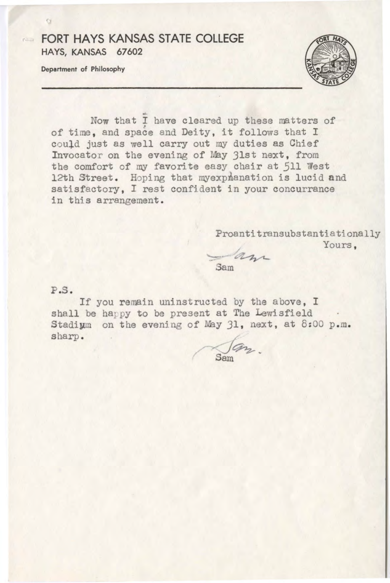### **EQRT HAYS KANSAS STATE COLLEGE HAYS, KANSAS 67602**

**Department of Philosophy** 

 $\mathbf{C}$ 



Now that I have cleared up these matters of of time, and space and Deity, it follows that I could just as well carry out my duties as Chief Invocator on the evening of May 31st next, from the comfort of my favorite easy chair at 511 West 12th Street. Hoping that myexpianation is lucid **and**  satisfactory, I rest confident in your concurrance in this arrangement .

> Proantitransubstantia tionally Yours.

an Sam

 $P.S.$ 

If you remain uninstructed by the above, I shall be happy to be present at The Lewisfield Stadium on the evening of May 31, next, at 8:00 p.m. sharp .

Sam